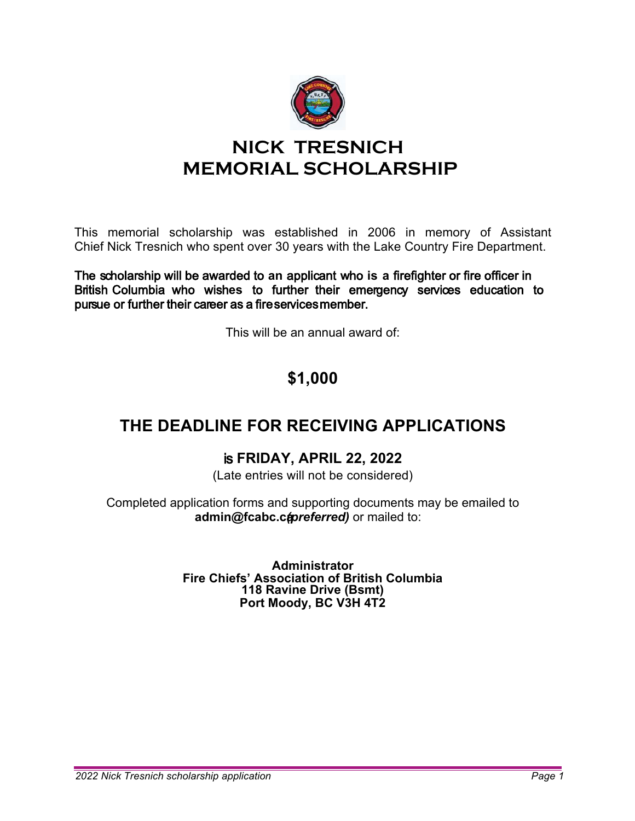

# **NICK TRESNICH MEMORIAL SCHOLARSHIP**

This memorial scholarship was established in 2006 in memory of Assistant Chief Nick Tresnich who spent over 30 years with the Lake Country Fire Department.

The scholarship will be awarded to **an** applicant **w**ho **is a** firefighter or fire officer in British Columbia who wish**es** to further their emergency services education to pursue or further their career as a fireservicesmember.

This will be an annual award of:

# **\$1,000**

### **THE DEADLINE FOR RECEIVING APPLICATIONS**

#### is **FRIDAY, APRIL 22, 2022**

(Late entries will not be considered)

Completed application forms and supporting documents may be emailed to admin@fcabc.capreferred) or mailed to:

> **Administrator Fire Chiefs' Association of British Columbia 118 Ravine Drive (Bsmt) Port Moody, BC V3H 4T2**